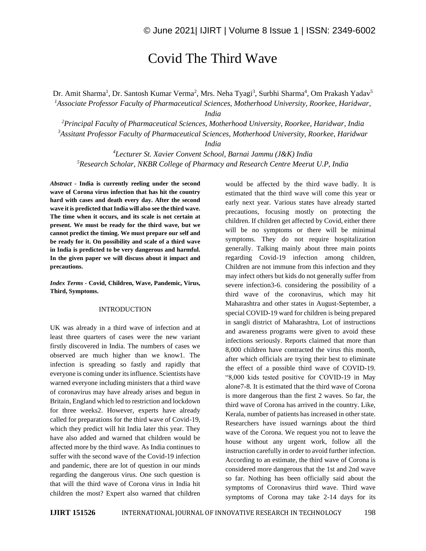## Covid The Third Wave

Dr. Amit Sharma<sup>1</sup>, Dr. Santosh Kumar Verma<sup>2</sup>, Mrs. Neha Tyagi<sup>3</sup>, Surbhi Sharma<sup>4</sup>, Om Prakash Yadav<sup>5</sup> *<sup>1</sup>Associate Professor Faculty of Pharmaceutical Sciences, Motherhood University, Roorkee, Haridwar,* 

*India*

*<sup>2</sup>Principal Faculty of Pharmaceutical Sciences, Motherhood University, Roorkee, Haridwar, India <sup>3</sup>Assitant Professor Faculty of Pharmaceutical Sciences, Motherhood University, Roorkee, Haridwar* 

*India*

*<sup>4</sup>Lecturer St. Xavier Convent School, Barnai Jammu (J&K) India <sup>5</sup>Research Scholar, NKBR College of Pharmacy and Research Centre Meerut U.P, India*

*Abstract -* **India is currently reeling under the second wave of Corona virus infection that has hit the country hard with cases and death every day. After the second wave it is predicted that India will also see the third wave. The time when it occurs, and its scale is not certain at present. We must be ready for the third wave, but we cannot predict the timing. We must prepare our self and be ready for it. On possibility and scale of a third wave in India is predicted to be very dangerous and harmful. In the given paper we will discuss about it impact and precautions.**

*Index Terms -* **Covid, Children, Wave, Pandemic, Virus, Third, Symptoms.**

## INTRODUCTION

UK was already in a third wave of infection and at least three quarters of cases were the new variant firstly discovered in India. The numbers of cases we observed are much higher than we know1. The infection is spreading so fastly and rapidly that everyone is coming under its influence. Scientists have warned everyone including ministers that a third wave of coronavirus may have already arises and begun in Britain, England which led to restriction and lockdown for three weeks2. However, experts have already called for preparations for the third wave of Covid-19, which they predict will hit India later this year. They have also added and warned that children would be affected more by the third wave. As India continues to suffer with the second wave of the Covid-19 infection and pandemic, there are lot of question in our minds regarding the dangerous virus. One such question is that will the third wave of Corona virus in India hit children the most? Expert also warned that children

would be affected by the third wave badly. It is estimated that the third wave will come this year or early next year. Various states have already started precautions, focusing mostly on protecting the children. If children get affected by Covid, either there will be no symptoms or there will be minimal symptoms. They do not require hospitalization generally. Talking mainly about three main points regarding Covid-19 infection among children, Children are not immune from this infection and they may infect others but kids do not generally suffer from severe infection3-6. considering the possibility of a third wave of the coronavirus, which may hit Maharashtra and other states in August-September, a special COVID-19 ward for children is being prepared in sangli district of Maharashtra, Lot of instructions and awareness programs were given to avoid these infections seriously. Reports claimed that more than 8,000 children have contracted the virus this month, after which officials are trying their best to eliminate the effect of a possible third wave of COVID-19. "8,000 kids tested positive for COVID-19 in May alone7-8. It is estimated that the third wave of Corona is more dangerous than the first 2 waves. So far, the third wave of Corona has arrived in the country. Like, Kerala, number of patients has increased in other state. Researchers have issued warnings about the third wave of the Corona. We request you not to leave the house without any urgent work, follow all the instruction carefully in order to avoid further infection. According to an estimate, the third wave of Corona is considered more dangerous that the 1st and 2nd wave so far. Nothing has been officially said about the symptoms of Coronavirus third wave. Third wave symptoms of Corona may take 2-14 days for its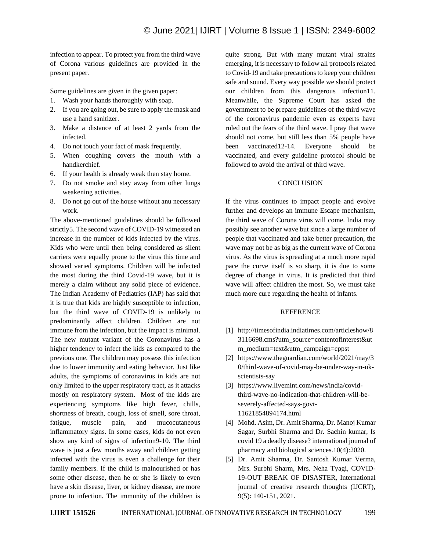infection to appear. To protect you from the third wave of Corona various guidelines are provided in the present paper.

Some guidelines are given in the given paper:

- 1. Wash your hands thoroughly with soap.
- 2. If you are going out, be sure to apply the mask and use a hand sanitizer.
- 3. Make a distance of at least 2 yards from the infected.
- 4. Do not touch your fact of mask frequently.
- 5. When coughing covers the mouth with a handkerchief.
- 6. If your health is already weak then stay home.
- 7. Do not smoke and stay away from other lungs weakening activities.
- 8. Do not go out of the house without anu necessary work.

The above-mentioned guidelines should be followed strictly5. The second wave of COVID-19 witnessed an increase in the number of kids infected by the virus. Kids who were until then being considered as silent carriers were equally prone to the virus this time and showed varied symptoms. Children will be infected the most during the third Covid-19 wave, but it is merely a claim without any solid piece of evidence. The Indian Academy of Pediatrics (IAP) has said that it is true that kids are highly susceptible to infection, but the third wave of COVID-19 is unlikely to predominantly affect children. Children are not immune from the infection, but the impact is minimal. The new mutant variant of the Coronavirus has a higher tendency to infect the kids as compared to the previous one. The children may possess this infection due to lower immunity and eating behavior. Just like adults, the symptoms of coronavirus in kids are not only limited to the upper respiratory tract, as it attacks mostly on respiratory system. Most of the kids are experiencing symptoms like high fever, chills, shortness of breath, cough, loss of smell, sore throat, fatigue, muscle pain, and mucocutaneous inflammatory signs. In some cases, kids do not even show any kind of signs of infection9-10. The third wave is just a few months away and children getting infected with the virus is even a challenge for their family members. If the child is malnourished or has some other disease, then he or she is likely to even have a skin disease, liver, or kidney disease, are more prone to infection. The immunity of the children is

quite strong. But with many mutant viral strains emerging, it is necessary to follow all protocols related to Covid-19 and take precautions to keep your children safe and sound. Every way possible we should protect our children from this dangerous infection11. Meanwhile, the Supreme Court has asked the government to be prepare guidelines of the third wave of the coronavirus pandemic even as experts have ruled out the fears of the third wave. I pray that wave should not come, but still less than 5% people have been vaccinated12-14. Everyone should be vaccinated, and every guideline protocol should be followed to avoid the arrival of third wave.

## **CONCLUSION**

If the virus continues to impact people and evolve further and develops an immune Escape mechanism, the third wave of Corona virus will come. India may possibly see another wave but since a large number of people that vaccinated and take better precaution, the wave may not be as big as the current wave of Corona virus. As the virus is spreading at a much more rapid pace the curve itself is so sharp, it is due to some degree of change in virus. It is predicted that third wave will affect children the most. So, we must take much more cure regarding the health of infants.

## **REFERENCE**

- [1] http://timesofindia.indiatimes.com/articleshow/8 3116698.cms?utm\_source=contentofinterest&ut m\_medium=text&utm\_campaign=cppst
- [2] https://www.theguardian.com/world/2021/may/3 0/third-wave-of-covid-may-be-under-way-in-ukscientists-say
- [3] https://www.livemint.com/news/india/covidthird-wave-no-indication-that-children-will-beseverely-affected-says-govt-11621854894174.html
- [4] Mohd. Asim, Dr. Amit Sharma, Dr. Manoj Kumar Sagar, Surbhi Sharma and Dr. Sachin kumar, Is covid 19 a deadly disease? international journal of pharmacy and biological sciences.10(4):2020.
- [5] Dr. Amit Sharma, Dr. Santosh Kumar Verma, Mrs. Surbhi Sharm, Mrs. Neha Tyagi, COVID-19-OUT BREAK OF DISASTER, International journal of creative research thoughts (IJCRT), 9(5): 140-151, 2021.